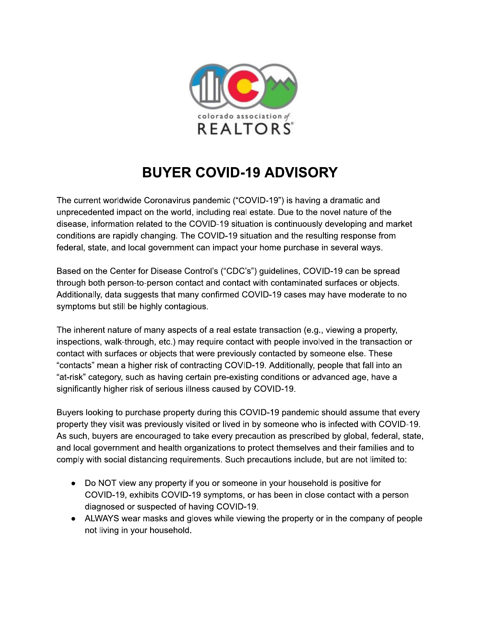

## **BUYER COVID-19 ADVISORY**

The current worldwide Coronavirus pandemic ("COVID-19") is having a dramatic and unprecedented impact on the world, including real estate. Due to the novel nature of the disease, information related to the COVID-19 situation is continuously developing and market conditions are rapidly changing. The COVID-19 situation and the resulting response from federal, state, and local government can impact your home purchase in several ways.

Based on the Center for Disease Control's ("CDC's") guidelines, COVID-19 can be spread through both person-to-person contact and contact with contaminated surfaces or objects. Additionally, data suggests that many confirmed COVID-19 cases may have moderate to no symptoms but still be highly contagious.

The inherent nature of many aspects of a real estate transaction (e.g., viewing a property, inspections, walk-through, etc.) may require contact with people involved in the transaction or contact with surfaces or objects that were previously contacted by someone else. These "contacts" mean a higher risk of contracting COVID-19. Additionally, people that fall into an "at-risk" category, such as having certain pre-existing conditions or advanced age, have a significantly higher risk of serious illness caused by COVID-19.

Buyers looking to purchase property during this COVID-19 pandemic should assume that every property they visit was previously visited or lived in by someone who is infected with COVID-19. As such, buyers are encouraged to take every precaution as prescribed by global, federal, state, and local government and health organizations to protect themselves and their families and to comply with social distancing requirements. Such precautions include, but are not limited to:

- Do NOT view any property if you or someone in your household is positive for COVID-19, exhibits COVID-19 symptoms, or has been in close contact with a person diagnosed or suspected of having COVID-19.
- ALWAYS wear masks and gloves while viewing the property or in the company of people not living in your household.